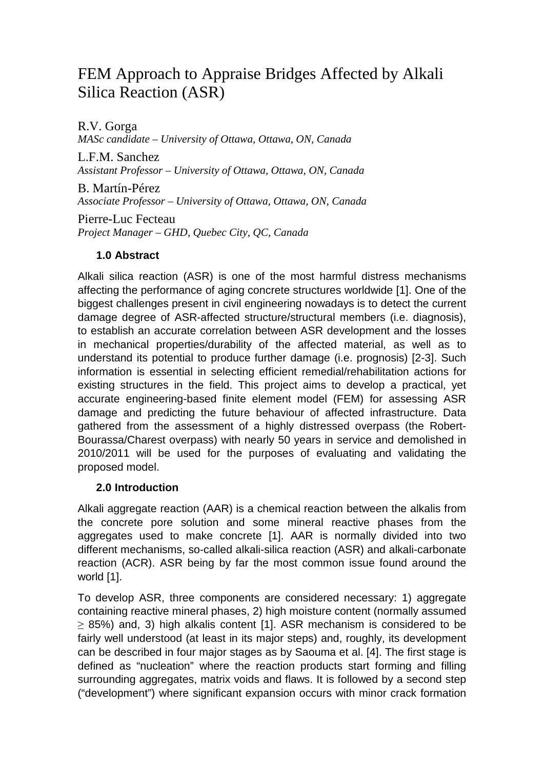## FEM Approach to Appraise Bridges Affected by Alkali Silica Reaction (ASR)

R.V. Gorga *MASc candidate – University of Ottawa, Ottawa, ON, Canada*

L.F.M. Sanchez *Assistant Professor – University of Ottawa, Ottawa, ON, Canada*

B. Martín-Pérez *Associate Professor – University of Ottawa, Ottawa, ON, Canada*

Pierre-Luc Fecteau *Project Manager – GHD, Quebec City, QC, Canada*

## **1.0 Abstract**

Alkali silica reaction (ASR) is one of the most harmful distress mechanisms affecting the performance of aging concrete structures worldwide [1]. One of the biggest challenges present in civil engineering nowadays is to detect the current damage degree of ASR-affected structure/structural members (i.e. diagnosis), to establish an accurate correlation between ASR development and the losses in mechanical properties/durability of the affected material, as well as to understand its potential to produce further damage (i.e. prognosis) [2-3]. Such information is essential in selecting efficient remedial/rehabilitation actions for existing structures in the field. This project aims to develop a practical, yet accurate engineering-based finite element model (FEM) for assessing ASR damage and predicting the future behaviour of affected infrastructure. Data gathered from the assessment of a highly distressed overpass (the Robert-Bourassa/Charest overpass) with nearly 50 years in service and demolished in 2010/2011 will be used for the purposes of evaluating and validating the proposed model.

## **2.0 Introduction**

Alkali aggregate reaction (AAR) is a chemical reaction between the alkalis from the concrete pore solution and some mineral reactive phases from the aggregates used to make concrete [1]. AAR is normally divided into two different mechanisms, so-called alkali-silica reaction (ASR) and alkali-carbonate reaction (ACR). ASR being by far the most common issue found around the world [1].

To develop ASR, three components are considered necessary: 1) aggregate containing reactive mineral phases, 2) high moisture content (normally assumed ≥ 85%) and, 3) high alkalis content [1]. ASR mechanism is considered to be fairly well understood (at least in its major steps) and, roughly, its development can be described in four major stages as by Saouma et al. [4]. The first stage is defined as "nucleation" where the reaction products start forming and filling surrounding aggregates, matrix voids and flaws. It is followed by a second step ("development") where significant expansion occurs with minor crack formation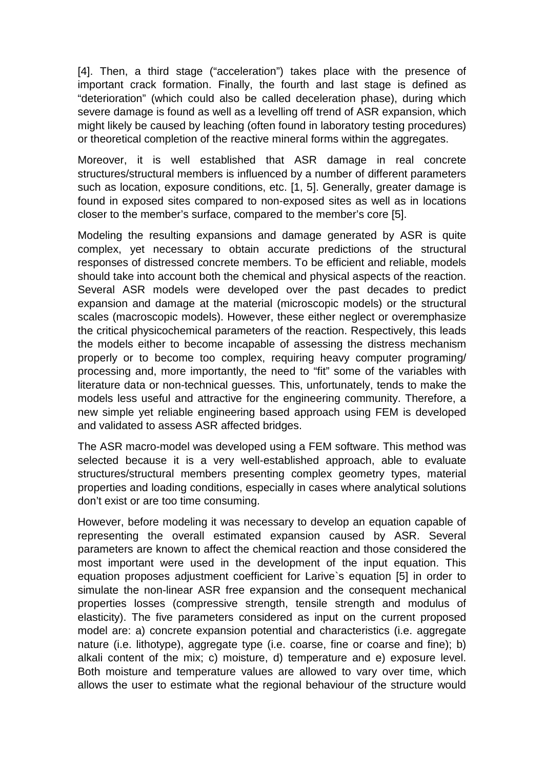[4]. Then, a third stage ("acceleration") takes place with the presence of important crack formation. Finally, the fourth and last stage is defined as "deterioration" (which could also be called deceleration phase), during which severe damage is found as well as a levelling off trend of ASR expansion, which might likely be caused by leaching (often found in laboratory testing procedures) or theoretical completion of the reactive mineral forms within the aggregates.

Moreover, it is well established that ASR damage in real concrete structures/structural members is influenced by a number of different parameters such as location, exposure conditions, etc. [1, 5]. Generally, greater damage is found in exposed sites compared to non-exposed sites as well as in locations closer to the member's surface, compared to the member's core [5].

Modeling the resulting expansions and damage generated by ASR is quite complex, yet necessary to obtain accurate predictions of the structural responses of distressed concrete members. To be efficient and reliable, models should take into account both the chemical and physical aspects of the reaction. Several ASR models were developed over the past decades to predict expansion and damage at the material (microscopic models) or the structural scales (macroscopic models). However, these either neglect or overemphasize the critical physicochemical parameters of the reaction. Respectively, this leads the models either to become incapable of assessing the distress mechanism properly or to become too complex, requiring heavy computer programing/ processing and, more importantly, the need to "fit" some of the variables with literature data or non-technical guesses. This, unfortunately, tends to make the models less useful and attractive for the engineering community. Therefore, a new simple yet reliable engineering based approach using FEM is developed and validated to assess ASR affected bridges.

The ASR macro-model was developed using a FEM software. This method was selected because it is a very well-established approach, able to evaluate structures/structural members presenting complex geometry types, material properties and loading conditions, especially in cases where analytical solutions don't exist or are too time consuming.

However, before modeling it was necessary to develop an equation capable of representing the overall estimated expansion caused by ASR. Several parameters are known to affect the chemical reaction and those considered the most important were used in the development of the input equation. This equation proposes adjustment coefficient for Larive`s equation [5] in order to simulate the non-linear ASR free expansion and the consequent mechanical properties losses (compressive strength, tensile strength and modulus of elasticity). The five parameters considered as input on the current proposed model are: a) concrete expansion potential and characteristics (i.e. aggregate nature (i.e. lithotype), aggregate type (i.e. coarse, fine or coarse and fine); b) alkali content of the mix; c) moisture, d) temperature and e) exposure level. Both moisture and temperature values are allowed to vary over time, which allows the user to estimate what the regional behaviour of the structure would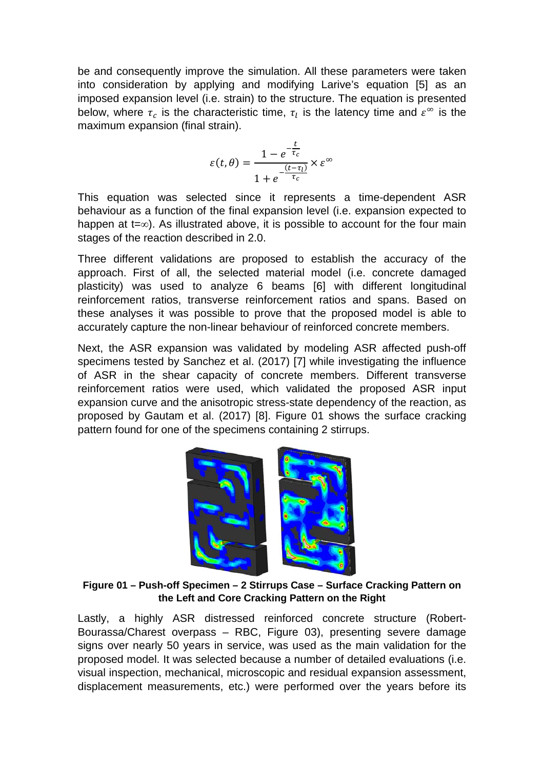be and consequently improve the simulation. All these parameters were taken into consideration by applying and modifying Larive's equation [5] as an imposed expansion level (i.e. strain) to the structure. The equation is presented below, where  $\tau_c$  is the characteristic time,  $\tau_l$  is the latency time and  $\varepsilon^{\infty}$  is the maximum expansion (final strain).

$$
\varepsilon(t,\theta) = \frac{1 - e^{-\frac{t}{\tau_c}}}{1 + e^{-\frac{(t-\tau_l)}{\tau_c}}} \times \varepsilon^{\infty}
$$

This equation was selected since it represents a time-dependent ASR behaviour as a function of the final expansion level (i.e. expansion expected to happen at t=∞). As illustrated above, it is possible to account for the four main stages of the reaction described in 2.0.

Three different validations are proposed to establish the accuracy of the approach. First of all, the selected material model (i.e. concrete damaged plasticity) was used to analyze 6 beams [6] with different longitudinal reinforcement ratios, transverse reinforcement ratios and spans. Based on these analyses it was possible to prove that the proposed model is able to accurately capture the non-linear behaviour of reinforced concrete members.

Next, the ASR expansion was validated by modeling ASR affected push-off specimens tested by Sanchez et al. (2017) [7] while investigating the influence of ASR in the shear capacity of concrete members. Different transverse reinforcement ratios were used, which validated the proposed ASR input expansion curve and the anisotropic stress-state dependency of the reaction, as proposed by Gautam et al. (2017) [8]. Figure 01 shows the surface cracking pattern found for one of the specimens containing 2 stirrups.



**Figure 01 – Push-off Specimen – 2 Stirrups Case – Surface Cracking Pattern on the Left and Core Cracking Pattern on the Right**

Lastly, a highly ASR distressed reinforced concrete structure (Robert-Bourassa/Charest overpass – RBC, Figure 03), presenting severe damage signs over nearly 50 years in service, was used as the main validation for the proposed model. It was selected because a number of detailed evaluations (i.e. visual inspection, mechanical, microscopic and residual expansion assessment, displacement measurements, etc.) were performed over the years before its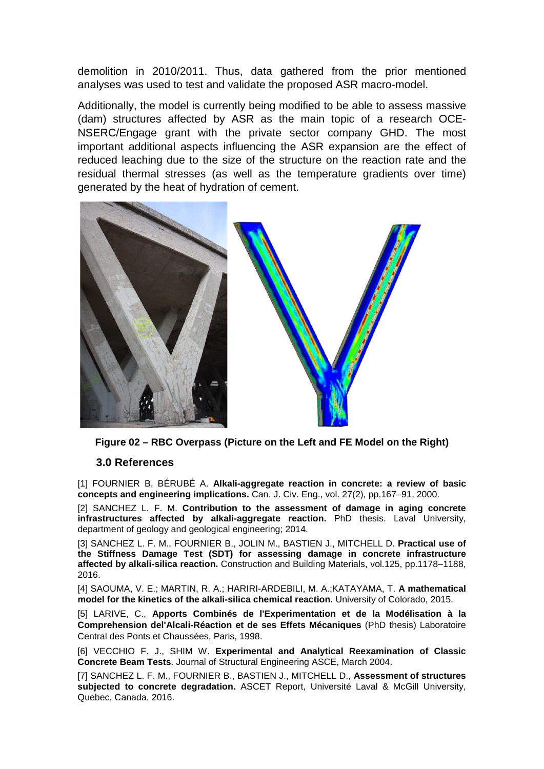demolition in 2010/2011. Thus, data gathered from the prior mentioned analyses was used to test and validate the proposed ASR macro-model.

Additionally, the model is currently being modified to be able to assess massive (dam) structures affected by ASR as the main topic of a research OCE-NSERC/Engage grant with the private sector company GHD. The most important additional aspects influencing the ASR expansion are the effect of reduced leaching due to the size of the structure on the reaction rate and the residual thermal stresses (as well as the temperature gradients over time) generated by the heat of hydration of cement.



**Figure 02 – RBC Overpass (Picture on the Left and FE Model on the Right)**

## **3.0 References**

[1] FOURNIER B, BÉRUBÉ A. **Alkali-aggregate reaction in concrete: a review of basic concepts and engineering implications.** Can. J. Civ. Eng., vol. 27(2), pp.167–91, 2000.

[2] SANCHEZ L. F. M. **Contribution to the assessment of damage in aging concrete infrastructures affected by alkali-aggregate reaction.** PhD thesis. Laval University, department of geology and geological engineering; 2014.

[3] SANCHEZ L. F. M., FOURNIER B., JOLIN M., BASTIEN J., MITCHELL D. **Practical use of the Stiffness Damage Test (SDT) for assessing damage in concrete infrastructure affected by alkali-silica reaction.** Construction and Building Materials, vol.125, pp.1178–1188, 2016.

[4] SAOUMA, V. E.; MARTIN, R. A.; HARIRI-ARDEBILI, M. A.;KATAYAMA, T. **A mathematical model for the kinetics of the alkali-silica chemical reaction.** University of Colorado, 2015.

[5] LARIVE, C., **Apports Combinés de l'Experimentation et de la Modélisation à la Comprehension del'Alcali-Réaction et de ses Effets Mécaniques** (PhD thesis) Laboratoire Central des Ponts et Chaussées, Paris, 1998.

[6] VECCHIO F. J., SHIM W. **Experimental and Analytical Reexamination of Classic Concrete Beam Tests**. Journal of Structural Engineering ASCE, March 2004.

[7] SANCHEZ L. F. M., FOURNIER B., BASTIEN J., MITCHELL D., **Assessment of structures subjected to concrete degradation.** ASCET Report, Université Laval & McGill University, Quebec, Canada, 2016.